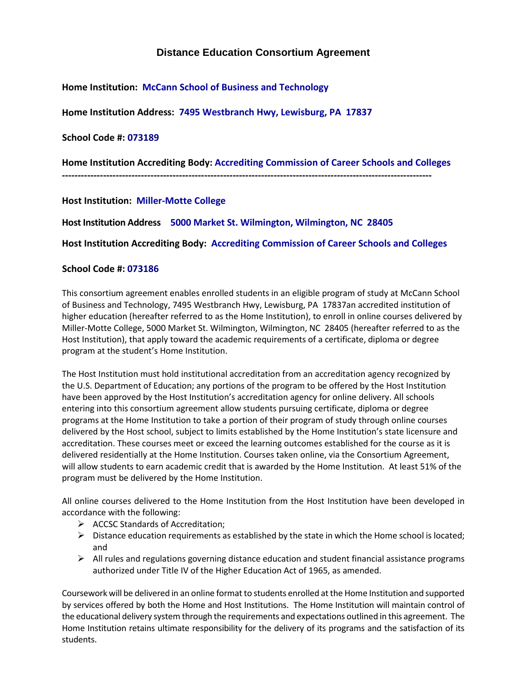## **Distance Education Consortium Agreement**

**Home Institution: McCann School of Business and Technology** 

**Home Institution Address: 7495 Westbranch Hwy, Lewisburg, PA 17837**

**School Code #: 073189**

**Home Institution Accrediting Body: Accrediting Commission of Career Schools and Colleges**

**---------------------------------------------------------------------------------------------------------------------**

**Host Institution: Miller-Motte College**

**Host Institution Address 5000 Market St. Wilmington, Wilmington, NC 28405**

**Host Institution Accrediting Body: Accrediting Commission of Career Schools and Colleges**

## **School Code #: 073186**

This consortium agreement enables enrolled students in an eligible program of study at McCann School of Business and Technology, 7495 Westbranch Hwy, Lewisburg, PA 17837an accredited institution of higher education (hereafter referred to as the Home Institution), to enroll in online courses delivered by Miller-Motte College, 5000 Market St. Wilmington, Wilmington, NC 28405 (hereafter referred to as the Host Institution), that apply toward the academic requirements of a certificate, diploma or degree program at the student's Home Institution.

The Host Institution must hold institutional accreditation from an accreditation agency recognized by the U.S. Department of Education; any portions of the program to be offered by the Host Institution have been approved by the Host Institution's accreditation agency for online delivery. All schools entering into this consortium agreement allow students pursuing certificate, diploma or degree programs at the Home Institution to take a portion of their program of study through online courses delivered by the Host school, subject to limits established by the Home Institution's state licensure and accreditation. These courses meet or exceed the learning outcomes established for the course as it is delivered residentially at the Home Institution. Courses taken online, via the Consortium Agreement, will allow students to earn academic credit that is awarded by the Home Institution. At least 51% of the program must be delivered by the Home Institution.

All online courses delivered to the Home Institution from the Host Institution have been developed in accordance with the following:

- $\triangleright$  ACCSC Standards of Accreditation;
- $\triangleright$  Distance education requirements as established by the state in which the Home school is located; and
- $\triangleright$  All rules and regulations governing distance education and student financial assistance programs authorized under Title IV of the Higher Education Act of 1965, as amended.

Coursework will be delivered in an online format to students enrolled at the Home Institution and supported by services offered by both the Home and Host Institutions. The Home Institution will maintain control of the educational delivery system through the requirements and expectations outlined in this agreement. The Home Institution retains ultimate responsibility for the delivery of its programs and the satisfaction of its students.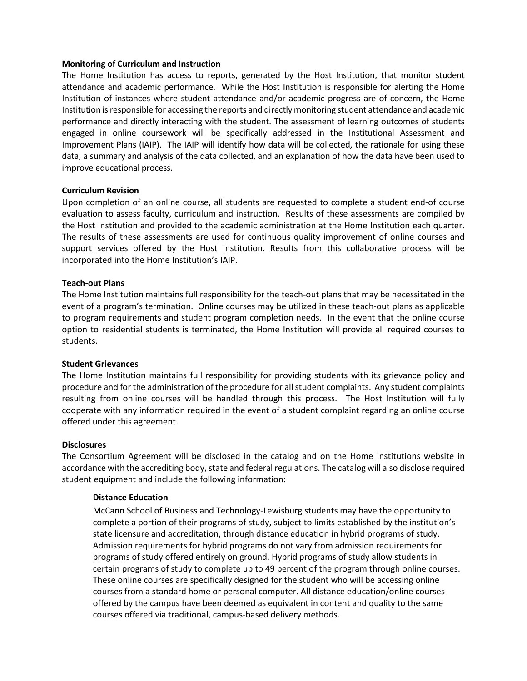#### **Monitoring of Curriculum and Instruction**

The Home Institution has access to reports, generated by the Host Institution, that monitor student attendance and academic performance. While the Host Institution is responsible for alerting the Home Institution of instances where student attendance and/or academic progress are of concern, the Home Institution is responsible for accessing the reports and directly monitoring student attendance and academic performance and directly interacting with the student. The assessment of learning outcomes of students engaged in online coursework will be specifically addressed in the Institutional Assessment and Improvement Plans (IAIP). The IAIP will identify how data will be collected, the rationale for using these data, a summary and analysis of the data collected, and an explanation of how the data have been used to improve educational process.

#### **Curriculum Revision**

Upon completion of an online course, all students are requested to complete a student end-of course evaluation to assess faculty, curriculum and instruction. Results of these assessments are compiled by the Host Institution and provided to the academic administration at the Home Institution each quarter. The results of these assessments are used for continuous quality improvement of online courses and support services offered by the Host Institution. Results from this collaborative process will be incorporated into the Home Institution's IAIP.

#### **Teach-out Plans**

The Home Institution maintains full responsibility for the teach-out plans that may be necessitated in the event of a program's termination. Online courses may be utilized in these teach-out plans as applicable to program requirements and student program completion needs. In the event that the online course option to residential students is terminated, the Home Institution will provide all required courses to students.

#### **Student Grievances**

The Home Institution maintains full responsibility for providing students with its grievance policy and procedure and for the administration of the procedure for all student complaints. Any student complaints resulting from online courses will be handled through this process. The Host Institution will fully cooperate with any information required in the event of a student complaint regarding an online course offered under this agreement.

#### **Disclosures**

The Consortium Agreement will be disclosed in the catalog and on the Home Institutions website in accordance with the accrediting body, state and federal regulations. The catalog will also disclose required student equipment and include the following information:

#### **Distance Education**

McCann School of Business and Technology-Lewisburg students may have the opportunity to complete a portion of their programs of study, subject to limits established by the institution's state licensure and accreditation, through distance education in hybrid programs of study. Admission requirements for hybrid programs do not vary from admission requirements for programs of study offered entirely on ground. Hybrid programs of study allow students in certain programs of study to complete up to 49 percent of the program through online courses. These online courses are specifically designed for the student who will be accessing online courses from a standard home or personal computer. All distance education/online courses offered by the campus have been deemed as equivalent in content and quality to the same courses offered via traditional, campus-based delivery methods.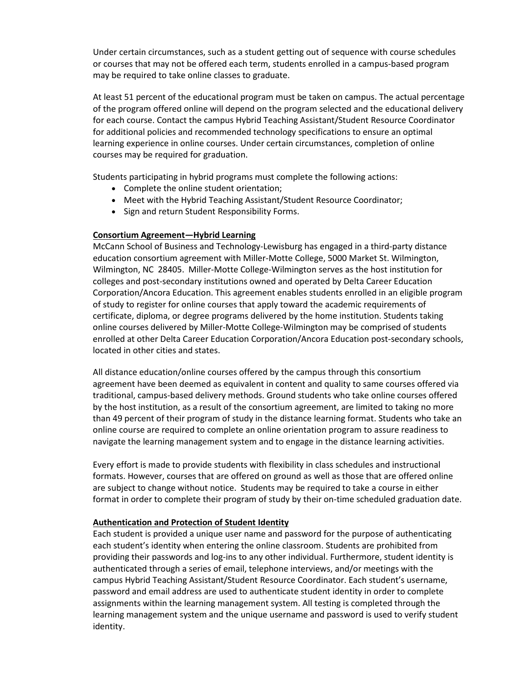Under certain circumstances, such as a student getting out of sequence with course schedules or courses that may not be offered each term, students enrolled in a campus-based program may be required to take online classes to graduate.

At least 51 percent of the educational program must be taken on campus. The actual percentage of the program offered online will depend on the program selected and the educational delivery for each course. Contact the campus Hybrid Teaching Assistant/Student Resource Coordinator for additional policies and recommended technology specifications to ensure an optimal learning experience in online courses. Under certain circumstances, completion of online courses may be required for graduation.

Students participating in hybrid programs must complete the following actions:

- Complete the online student orientation;
- Meet with the Hybrid Teaching Assistant/Student Resource Coordinator;
- Sign and return Student Responsibility Forms.

#### **Consortium Agreement—Hybrid Learning**

McCann School of Business and Technology-Lewisburg has engaged in a third-party distance education consortium agreement with Miller-Motte College, 5000 Market St. Wilmington, Wilmington, NC 28405. Miller-Motte College-Wilmington serves as the host institution for colleges and post-secondary institutions owned and operated by Delta Career Education Corporation/Ancora Education. This agreement enables students enrolled in an eligible program of study to register for online courses that apply toward the academic requirements of certificate, diploma, or degree programs delivered by the home institution. Students taking online courses delivered by Miller-Motte College-Wilmington may be comprised of students enrolled at other Delta Career Education Corporation/Ancora Education post-secondary schools, located in other cities and states.

All distance education/online courses offered by the campus through this consortium agreement have been deemed as equivalent in content and quality to same courses offered via traditional, campus-based delivery methods. Ground students who take online courses offered by the host institution, as a result of the consortium agreement, are limited to taking no more than 49 percent of their program of study in the distance learning format. Students who take an online course are required to complete an online orientation program to assure readiness to navigate the learning management system and to engage in the distance learning activities.

Every effort is made to provide students with flexibility in class schedules and instructional formats. However, courses that are offered on ground as well as those that are offered online are subject to change without notice. Students may be required to take a course in either format in order to complete their program of study by their on-time scheduled graduation date.

#### **Authentication and Protection of Student Identity**

Each student is provided a unique user name and password for the purpose of authenticating each student's identity when entering the online classroom. Students are prohibited from providing their passwords and log-ins to any other individual. Furthermore, student identity is authenticated through a series of email, telephone interviews, and/or meetings with the campus Hybrid Teaching Assistant/Student Resource Coordinator. Each student's username, password and email address are used to authenticate student identity in order to complete assignments within the learning management system. All testing is completed through the learning management system and the unique username and password is used to verify student identity.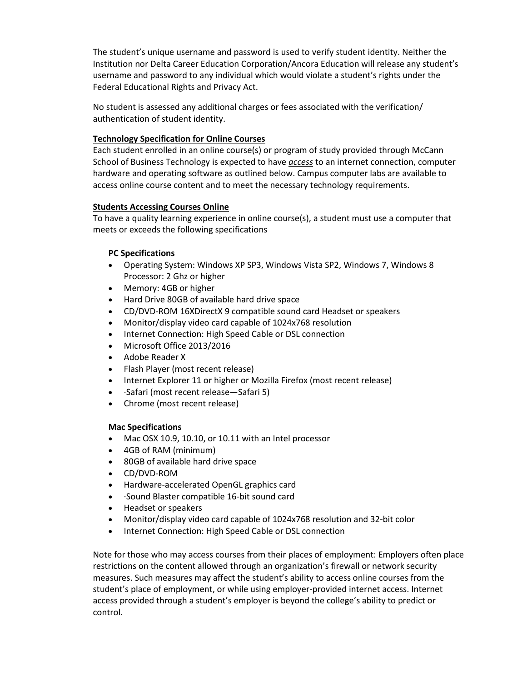The student's unique username and password is used to verify student identity. Neither the Institution nor Delta Career Education Corporation/Ancora Education will release any student's username and password to any individual which would violate a student's rights under the Federal Educational Rights and Privacy Act.

No student is assessed any additional charges or fees associated with the verification/ authentication of student identity.

#### **Technology Specification for Online Courses**

Each student enrolled in an online course(s) or program of study provided through McCann School of Business Technology is expected to have *access* to an internet connection, computer hardware and operating software as outlined below. Campus computer labs are available to access online course content and to meet the necessary technology requirements.

## **Students Accessing Courses Online**

To have a quality learning experience in online course(s), a student must use a computer that meets or exceeds the following specifications

## **PC Specifications**

- Operating System: Windows XP SP3, Windows Vista SP2, Windows 7, Windows 8 Processor: 2 Ghz or higher
- Memory: 4GB or higher
- Hard Drive 80GB of available hard drive space
- CD/DVD-ROM 16XDirectX 9 compatible sound card Headset or speakers
- Monitor/display video card capable of 1024x768 resolution
- Internet Connection: High Speed Cable or DSL connection
- Microsoft Office 2013/2016
- Adobe Reader X
- Flash Player (most recent release)
- Internet Explorer 11 or higher or Mozilla Firefox (most recent release)
- ·Safari (most recent release—Safari 5)
- Chrome (most recent release)

#### **Mac Specifications**

- Mac OSX 10.9, 10.10, or 10.11 with an Intel processor
- 4GB of RAM (minimum)
- 80GB of available hard drive space
- CD/DVD-ROM
- Hardware-accelerated OpenGL graphics card
- ·Sound Blaster compatible 16-bit sound card
- Headset or speakers
- Monitor/display video card capable of 1024x768 resolution and 32-bit color
- Internet Connection: High Speed Cable or DSL connection

Note for those who may access courses from their places of employment: Employers often place restrictions on the content allowed through an organization's firewall or network security measures. Such measures may affect the student's ability to access online courses from the student's place of employment, or while using employer-provided internet access. Internet access provided through a student's employer is beyond the college's ability to predict or control.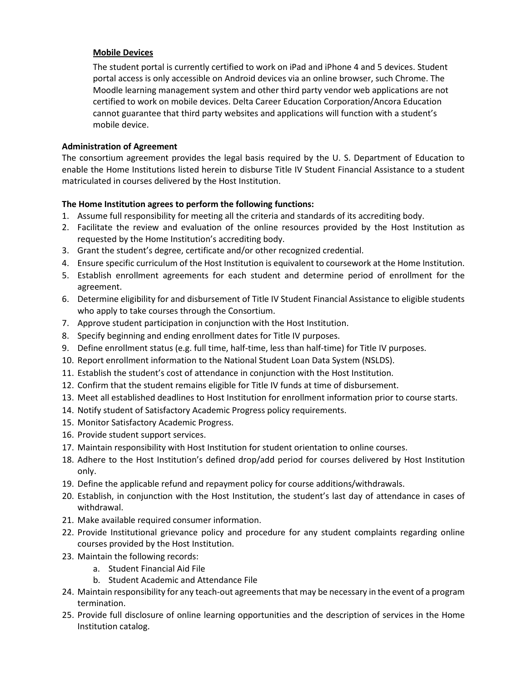## **Mobile Devices**

The student portal is currently certified to work on iPad and iPhone 4 and 5 devices. Student portal access is only accessible on Android devices via an online browser, such Chrome. The Moodle learning management system and other third party vendor web applications are not certified to work on mobile devices. Delta Career Education Corporation/Ancora Education cannot guarantee that third party websites and applications will function with a student's mobile device.

## **Administration of Agreement**

The consortium agreement provides the legal basis required by the U. S. Department of Education to enable the Home Institutions listed herein to disburse Title IV Student Financial Assistance to a student matriculated in courses delivered by the Host Institution.

## **The Home Institution agrees to perform the following functions:**

- 1. Assume full responsibility for meeting all the criteria and standards of its accrediting body.
- 2. Facilitate the review and evaluation of the online resources provided by the Host Institution as requested by the Home Institution's accrediting body.
- 3. Grant the student's degree, certificate and/or other recognized credential.
- 4. Ensure specific curriculum of the Host Institution is equivalent to coursework at the Home Institution.
- 5. Establish enrollment agreements for each student and determine period of enrollment for the agreement.
- 6. Determine eligibility for and disbursement of Title IV Student Financial Assistance to eligible students who apply to take courses through the Consortium.
- 7. Approve student participation in conjunction with the Host Institution.
- 8. Specify beginning and ending enrollment dates for Title IV purposes.
- 9. Define enrollment status (e.g. full time, half-time, less than half-time) for Title IV purposes.
- 10. Report enrollment information to the National Student Loan Data System (NSLDS).
- 11. Establish the student's cost of attendance in conjunction with the Host Institution.
- 12. Confirm that the student remains eligible for Title IV funds at time of disbursement.
- 13. Meet all established deadlines to Host Institution for enrollment information prior to course starts.
- 14. Notify student of Satisfactory Academic Progress policy requirements.
- 15. Monitor Satisfactory Academic Progress.
- 16. Provide student support services.
- 17. Maintain responsibility with Host Institution for student orientation to online courses.
- 18. Adhere to the Host Institution's defined drop/add period for courses delivered by Host Institution only.
- 19. Define the applicable refund and repayment policy for course additions/withdrawals.
- 20. Establish, in conjunction with the Host Institution, the student's last day of attendance in cases of withdrawal.
- 21. Make available required consumer information.
- 22. Provide Institutional grievance policy and procedure for any student complaints regarding online courses provided by the Host Institution.
- 23. Maintain the following records:
	- a. Student Financial Aid File
	- b. Student Academic and Attendance File
- 24. Maintain responsibility for any teach-out agreements that may be necessary in the event of a program termination.
- 25. Provide full disclosure of online learning opportunities and the description of services in the Home Institution catalog.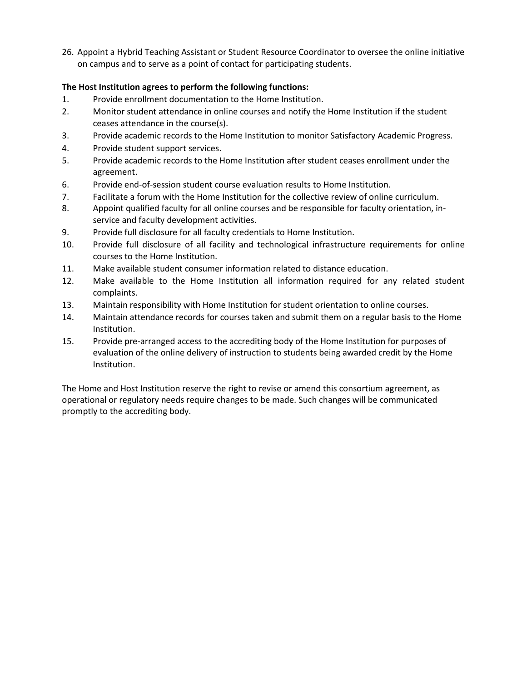26. Appoint a Hybrid Teaching Assistant or Student Resource Coordinator to oversee the online initiative on campus and to serve as a point of contact for participating students.

## **The Host Institution agrees to perform the following functions:**

- 1. Provide enrollment documentation to the Home Institution.
- 2. Monitor student attendance in online courses and notify the Home Institution if the student ceases attendance in the course(s).
- 3. Provide academic records to the Home Institution to monitor Satisfactory Academic Progress.
- 4. Provide student support services.
- 5. Provide academic records to the Home Institution after student ceases enrollment under the agreement.
- 6. Provide end-of-session student course evaluation results to Home Institution.
- 7. Facilitate a forum with the Home Institution for the collective review of online curriculum.
- 8. Appoint qualified faculty for all online courses and be responsible for faculty orientation, inservice and faculty development activities.
- 9. Provide full disclosure for all faculty credentials to Home Institution.
- 10. Provide full disclosure of all facility and technological infrastructure requirements for online courses to the Home Institution.
- 11. Make available student consumer information related to distance education.
- 12. Make available to the Home Institution all information required for any related student complaints.
- 13. Maintain responsibility with Home Institution for student orientation to online courses.
- 14. Maintain attendance records for courses taken and submit them on a regular basis to the Home Institution.
- 15. Provide pre-arranged access to the accrediting body of the Home Institution for purposes of evaluation of the online delivery of instruction to students being awarded credit by the Home Institution.

The Home and Host Institution reserve the right to revise or amend this consortium agreement, as operational or regulatory needs require changes to be made. Such changes will be communicated promptly to the accrediting body.